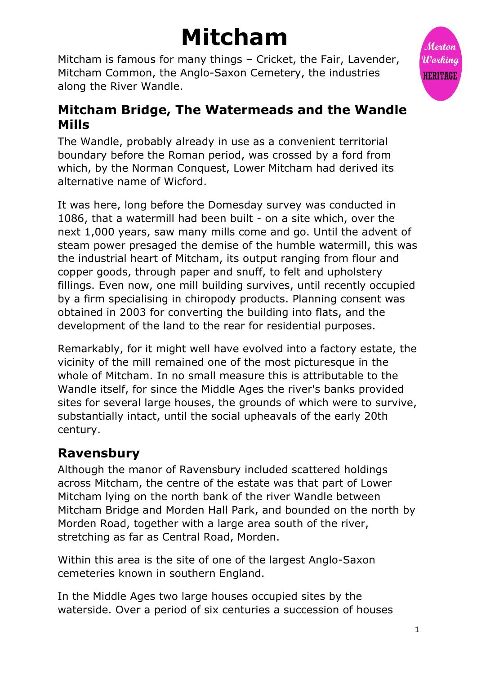# **Mitcham**

Mitcham is famous for many things – Cricket, the Fair, Lavender, Mitcham Common, the Anglo-Saxon Cemetery, the industries along the River Wandle.



The Wandle, probably already in use as a convenient territorial boundary before the Roman period, was crossed by a ford from which, by the Norman Conquest, Lower Mitcham had derived its alternative name of Wicford.

It was here, long before the Domesday survey was conducted in 1086, that a watermill had been built - on a site which, over the next 1,000 years, saw many mills come and go. Until the advent of steam power presaged the demise of the humble watermill, this was the industrial heart of Mitcham, its output ranging from flour and copper goods, through paper and snuff, to felt and upholstery fillings. Even now, one mill building survives, until recently occupied by a firm specialising in chiropody products. Planning consent was obtained in 2003 for converting the building into flats, and the development of the land to the rear for residential purposes.

Remarkably, for it might well have evolved into a factory estate, the vicinity of the mill remained one of the most picturesque in the whole of Mitcham. In no small measure this is attributable to the Wandle itself, for since the Middle Ages the river's banks provided sites for several large houses, the grounds of which were to survive, substantially intact, until the social upheavals of the early 20th century.

## **Ravensbury**

Although the manor of Ravensbury included scattered holdings across Mitcham, the centre of the estate was that part of Lower Mitcham lying on the north bank of the river Wandle between Mitcham Bridge and Morden Hall Park, and bounded on the north by Morden Road, together with a large area south of the river, stretching as far as Central Road, Morden.

Within this area is the site of one of the largest Anglo-Saxon cemeteries known in southern England.

In the Middle Ages two large houses occupied sites by the waterside. Over a period of six centuries a succession of houses

Mextan Working **HERITAGE**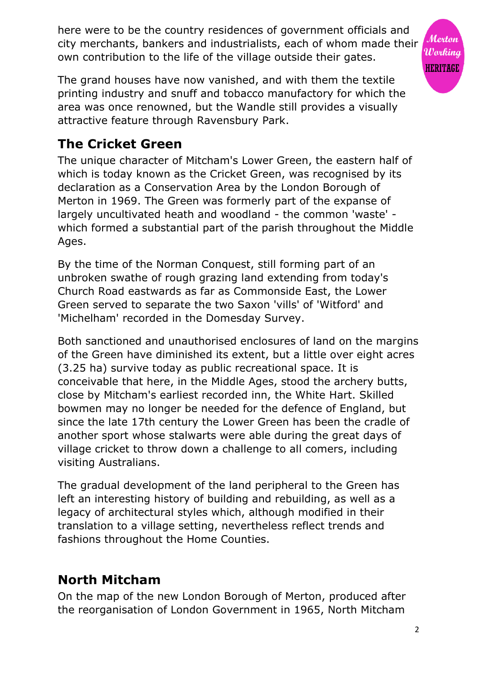here were to be the country residences of government officials and city merchants, bankers and industrialists, each of whom made their Working own contribution to the life of the village outside their gates.

The grand houses have now vanished, and with them the textile printing industry and snuff and tobacco manufactory for which the area was once renowned, but the Wandle still provides a visually attractive feature through Ravensbury Park.

## **The Cricket Green**

The unique character of Mitcham's Lower Green, the eastern half of which is today known as the Cricket Green, was recognised by its declaration as a Conservation Area by the London Borough of Merton in 1969. The Green was formerly part of the expanse of largely uncultivated heath and woodland - the common 'waste' which formed a substantial part of the parish throughout the Middle Ages.

By the time of the Norman Conquest, still forming part of an unbroken swathe of rough grazing land extending from today's Church Road eastwards as far as Commonside East, the Lower Green served to separate the two Saxon 'vills' of 'Witford' and 'Michelham' recorded in the Domesday Survey.

Both sanctioned and unauthorised enclosures of land on the margins of the Green have diminished its extent, but a little over eight acres (3.25 ha) survive today as public recreational space. It is conceivable that here, in the Middle Ages, stood the archery butts, close by Mitcham's earliest recorded inn, the White Hart. Skilled bowmen may no longer be needed for the defence of England, but since the late 17th century the Lower Green has been the cradle of another sport whose stalwarts were able during the great days of village cricket to throw down a challenge to all comers, including visiting Australians.

The gradual development of the land peripheral to the Green has left an interesting history of building and rebuilding, as well as a legacy of architectural styles which, although modified in their translation to a village setting, nevertheless reflect trends and fashions throughout the Home Counties.

## **North Mitcham**

On the map of the new London Borough of Merton, produced after the reorganisation of London Government in 1965, North Mitcham Merton

**HERITAGE**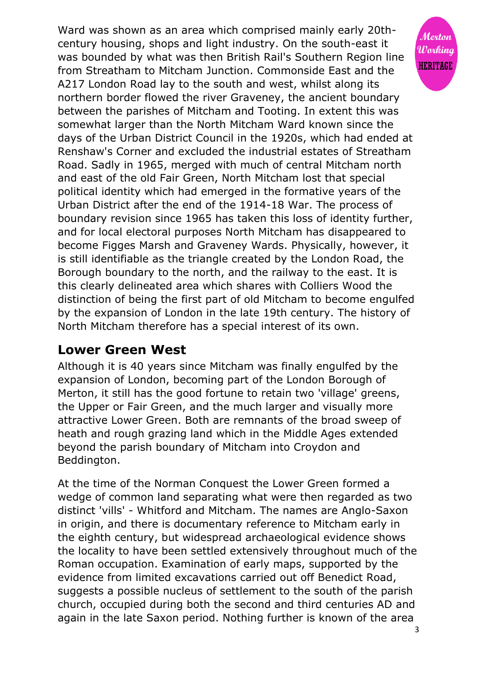Ward was shown as an area which comprised mainly early 20thcentury housing, shops and light industry. On the south-east it Working was bounded by what was then British Rail's Southern Region line **HERITAGE** from Streatham to Mitcham Junction. Commonside East and the A217 London Road lay to the south and west, whilst along its northern border flowed the river Graveney, the ancient boundary between the parishes of Mitcham and Tooting. In extent this was somewhat larger than the North Mitcham Ward known since the days of the Urban District Council in the 1920s, which had ended at Renshaw's Corner and excluded the industrial estates of Streatham Road. Sadly in 1965, merged with much of central Mitcham north and east of the old Fair Green, North Mitcham lost that special political identity which had emerged in the formative years of the Urban District after the end of the 1914-18 War. The process of boundary revision since 1965 has taken this loss of identity further, and for local electoral purposes North Mitcham has disappeared to become Figges Marsh and Graveney Wards. Physically, however, it is still identifiable as the triangle created by the London Road, the Borough boundary to the north, and the railway to the east. It is this clearly delineated area which shares with Colliers Wood the distinction of being the first part of old Mitcham to become engulfed by the expansion of London in the late 19th century. The history of North Mitcham therefore has a special interest of its own.

#### **Lower Green West**

Although it is 40 years since Mitcham was finally engulfed by the expansion of London, becoming part of the London Borough of Merton, it still has the good fortune to retain two 'village' greens, the Upper or Fair Green, and the much larger and visually more attractive Lower Green. Both are remnants of the broad sweep of heath and rough grazing land which in the Middle Ages extended beyond the parish boundary of Mitcham into Croydon and Beddington.

At the time of the Norman Conquest the Lower Green formed a wedge of common land separating what were then regarded as two distinct 'vills' - Whitford and Mitcham. The names are Anglo-Saxon in origin, and there is documentary reference to Mitcham early in the eighth century, but widespread archaeological evidence shows the locality to have been settled extensively throughout much of the Roman occupation. Examination of early maps, supported by the evidence from limited excavations carried out off Benedict Road, suggests a possible nucleus of settlement to the south of the parish church, occupied during both the second and third centuries AD and again in the late Saxon period. Nothing further is known of the area

Merton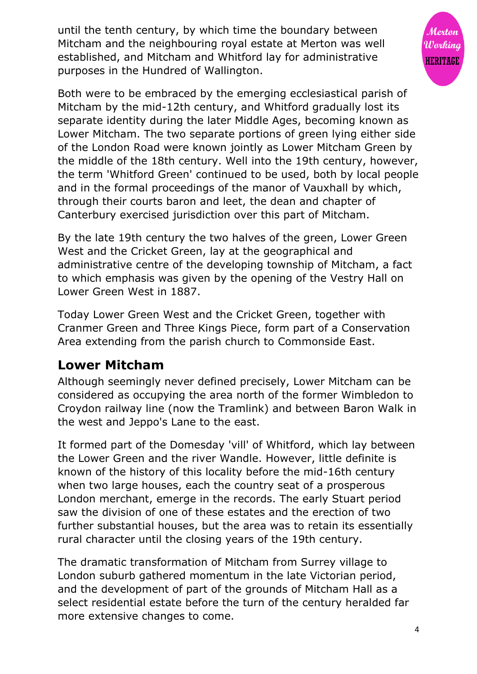until the tenth century, by which time the boundary between Mitcham and the neighbouring royal estate at Merton was well established, and Mitcham and Whitford lay for administrative purposes in the Hundred of Wallington.



Both were to be embraced by the emerging ecclesiastical parish of Mitcham by the mid-12th century, and Whitford gradually lost its separate identity during the later Middle Ages, becoming known as Lower Mitcham. The two separate portions of green lying either side of the London Road were known jointly as Lower Mitcham Green by the middle of the 18th century. Well into the 19th century, however, the term 'Whitford Green' continued to be used, both by local people and in the formal proceedings of the manor of Vauxhall by which, through their courts baron and leet, the dean and chapter of Canterbury exercised jurisdiction over this part of Mitcham.

By the late 19th century the two halves of the green, Lower Green West and the Cricket Green, lay at the geographical and administrative centre of the developing township of Mitcham, a fact to which emphasis was given by the opening of the Vestry Hall on Lower Green West in 1887.

Today Lower Green West and the Cricket Green, together with Cranmer Green and Three Kings Piece, form part of a Conservation Area extending from the parish church to Commonside East.

#### **Lower Mitcham**

Although seemingly never defined precisely, Lower Mitcham can be considered as occupying the area north of the former Wimbledon to Croydon railway line (now the Tramlink) and between Baron Walk in the west and Jeppo's Lane to the east.

It formed part of the Domesday 'vill' of Whitford, which lay between the Lower Green and the river Wandle. However, little definite is known of the history of this locality before the mid-16th century when two large houses, each the country seat of a prosperous London merchant, emerge in the records. The early Stuart period saw the division of one of these estates and the erection of two further substantial houses, but the area was to retain its essentially rural character until the closing years of the 19th century.

The dramatic transformation of Mitcham from Surrey village to London suburb gathered momentum in the late Victorian period, and the development of part of the grounds of Mitcham Hall as a select residential estate before the turn of the century heralded far more extensive changes to come.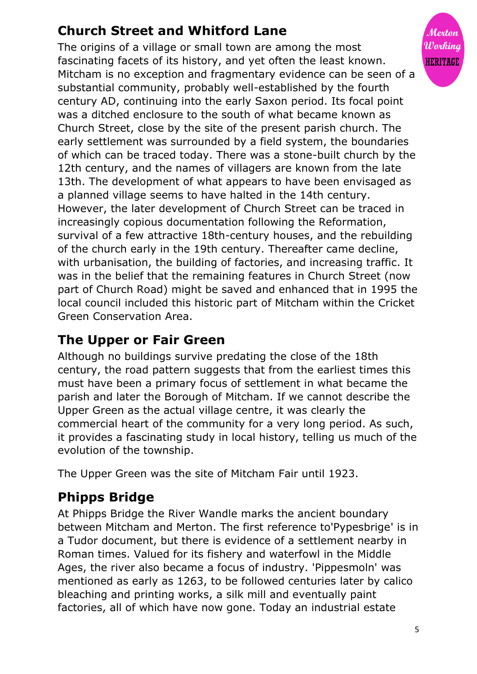# **Church Street and Whitford Lane**

The origins of a village or small town are among the most fascinating facets of its history, and yet often the least known. Mitcham is no exception and fragmentary evidence can be seen of a substantial community, probably well-established by the fourth century AD, continuing into the early Saxon period. Its focal point was a ditched enclosure to the south of what became known as Church Street, close by the site of the present parish church. The early settlement was surrounded by a field system, the boundaries of which can be traced today. There was a stone-built church by the 12th century, and the names of villagers are known from the late 13th. The development of what appears to have been envisaged as a planned village seems to have halted in the 14th century. However, the later development of Church Street can be traced in increasingly copious documentation following the Reformation, survival of a few attractive 18th-century houses, and the rebuilding of the church early in the 19th century. Thereafter came decline, with urbanisation, the building of factories, and increasing traffic. It was in the belief that the remaining features in Church Street (now part of Church Road) might be saved and enhanced that in 1995 the local council included this historic part of Mitcham within the Cricket Green Conservation Area.

## **The Upper or Fair Green**

Although no buildings survive predating the close of the 18th century, the road pattern suggests that from the earliest times this must have been a primary focus of settlement in what became the parish and later the Borough of Mitcham. If we cannot describe the Upper Green as the actual village centre, it was clearly the commercial heart of the community for a very long period. As such, it provides a fascinating study in local history, telling us much of the evolution of the township.

The Upper Green was the site of Mitcham Fair until 1923.

# **Phipps Bridge**

At Phipps Bridge the River Wandle marks the ancient boundary between Mitcham and Merton. The first reference to'Pypesbrige' is in a Tudor document, but there is evidence of a settlement nearby in Roman times. Valued for its fishery and waterfowl in the Middle Ages, the river also became a focus of industry. 'Pippesmoln' was mentioned as early as 1263, to be followed centuries later by calico bleaching and printing works, a silk mill and eventually paint factories, all of which have now gone. Today an industrial estate

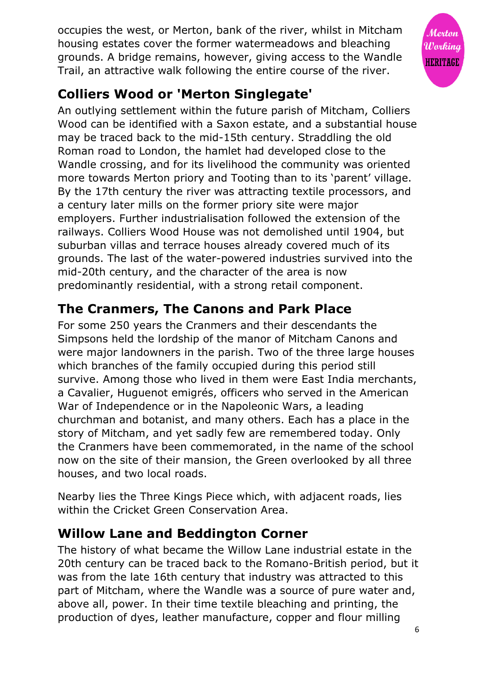occupies the west, or Merton, bank of the river, whilst in Mitcham housing estates cover the former watermeadows and bleaching grounds. A bridge remains, however, giving access to the Wandle Trail, an attractive walk following the entire course of the river.



# **Colliers Wood or 'Merton Singlegate'**

An outlying settlement within the future parish of Mitcham, Colliers Wood can be identified with a Saxon estate, and a substantial house may be traced back to the mid-15th century. Straddling the old Roman road to London, the hamlet had developed close to the Wandle crossing, and for its livelihood the community was oriented more towards Merton priory and Tooting than to its 'parent' village. By the 17th century the river was attracting textile processors, and a century later mills on the former priory site were major employers. Further industrialisation followed the extension of the railways. Colliers Wood House was not demolished until 1904, but suburban villas and terrace houses already covered much of its grounds. The last of the water-powered industries survived into the mid-20th century, and the character of the area is now predominantly residential, with a strong retail component.

# **The Cranmers, The Canons and Park Place**

For some 250 years the Cranmers and their descendants the Simpsons held the lordship of the manor of Mitcham Canons and were major landowners in the parish. Two of the three large houses which branches of the family occupied during this period still survive. Among those who lived in them were East India merchants, a Cavalier, Huguenot emigrés, officers who served in the American War of Independence or in the Napoleonic Wars, a leading churchman and botanist, and many others. Each has a place in the story of Mitcham, and yet sadly few are remembered today. Only the Cranmers have been commemorated, in the name of the school now on the site of their mansion, the Green overlooked by all three houses, and two local roads.

Nearby lies the Three Kings Piece which, with adjacent roads, lies within the Cricket Green Conservation Area.

# **Willow Lane and Beddington Corner**

The history of what became the Willow Lane industrial estate in the 20th century can be traced back to the Romano-British period, but it was from the late 16th century that industry was attracted to this part of Mitcham, where the Wandle was a source of pure water and, above all, power. In their time textile bleaching and printing, the production of dyes, leather manufacture, copper and flour milling